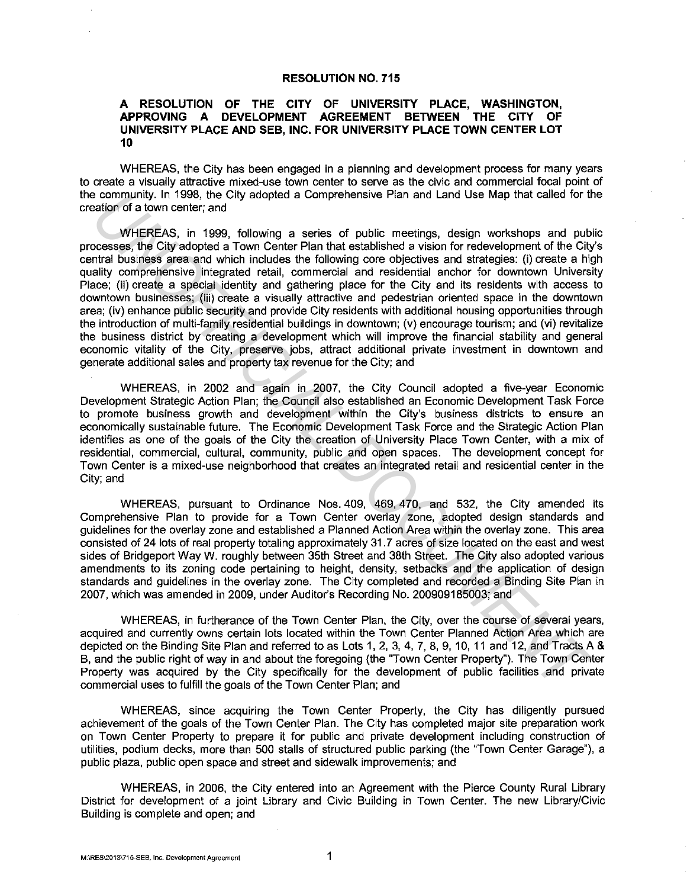## **RESOLUTION NO. 715**

## **A RESOLUTION OF THE CITY OF UNIVERSITY PLACE, WASHINGTON, APPROVING A DEVELOPMENT AGREEMENT BETWEEN THE CITY OF UNIVERSITY PLACE AND SEB, INC. FOR UNIVERSITY PLACE TOWN CENTER LOT 10**

WHEREAS, the City has been engaged in a planning and development process for many years to create a visually attractive mixed-use town center to serve as the civic and commercial focal point of the community. In 1998, the City adopted a Comprehensive Plan and Land Use Map that called for the creation of a town center; and

WHEREAS, in 1999, following a series of public meetings, design workshops and public processes, the City adopted a Town Center Plan that established a vision for redevelopment of the City's central business area and which includes the following core objectives and strategies: (i) create a high quality comprehensive integrated retail, commercial and residential anchor for downtown University Place; (ii) create a special identity and gathering place for the City and its residents with access to downtown businesses; (iii) create a visually attractive and pedestrian oriented space in the downtown area; (iv) enhance public security and provide City residents with additional housing opportunities through the introduction of multi-family residential buildings in downtown; (v) encourage tourism; and (vi) revitalize the business district by creating a development which will improve the financial stability and general economic vitality of the City, preserve jobs, attract additional private investment in downtown and generate additional sales and property tax revenue for the City; and is community. In 1998, the City adopted a Comprehensive Plan and Land Use Map that calied for the more than the comparisons, the City adopted a Town Center Plan and Land Use Map that calied for Wi-EREAS, in 1999, following

WHEREAS, in 2002 and again in 2007, the City Council adopted a five-year Economic Development Strategic Action Plan; the Council also established an Economic Development Task Force to promote business growth and development within the City's business districts to ensure an economically sustainable future. The Economic Development Task Force and the Strategic Action Plan identifies as one of the goals of the City the creation of University Place Town Center, with a mix of residential, commercial, cultural, community, public and open spaces. The development concept for Town Center is a mixed-use neighborhood that creates an integrated retail and residential center in the City; and

WHEREAS, pursuant to Ordinance Nos. 409, 469, 470, and 532, the City amended its Comprehensive Plan to provide for a Town Center overlay zone, adopted design standards and guidelines for the overlay zone and established a Planned Action Area within the overlay zone. This area consisted of 24 lots of real property totaling approximately 31. 7 acres of size located on the east and west sides of Bridgeport Way W. roughly between 35th Street and 38th Street. The City also adopted various amendments to its zoning code pertaining to height, density, setbacks and the application of design standards and guidelines in the overlay zone. The City completed and recorded a Binding Site Plan in 2007, which was amended in 2009, under Auditor's Recording No. 200909185003; and

WHEREAS, in furtherance of the Town Center Plan, the City, over the course of several years, acquired and currently owns certain lots located within the Town Center Planned Action Area which are depicted on the Binding Site Plan and referred to as Lots 1, 2, 3, 4, 7, 8, 9, 10, 11 and 12, and Tracts A & B, and the public right of way in and about the foregoing (the "Town Center Property"). The Town Center Property was acquired by the City specifically for the development of public facilities and private commercial uses to fulfill the goals of the Town Center Plan; and

WHEREAS, since acquiring the Town Center Property, the City has diligently pursued achievement of the goals of the Town Center Plan. The City has completed major site preparation work on Town Center Property to prepare it for public and private development including construction of utilities, podium decks, more than 500 stalls of structured public parking (the 'Town Center Garage"), a public plaza, public open space and street and sidewalk improvements; and

WHEREAS, in 2006, the City entered into an Agreement with the Pierce County Rural Library District for development of a joint Library and Civic Building in Town Center. The new Library/Civic Building is complete and open; and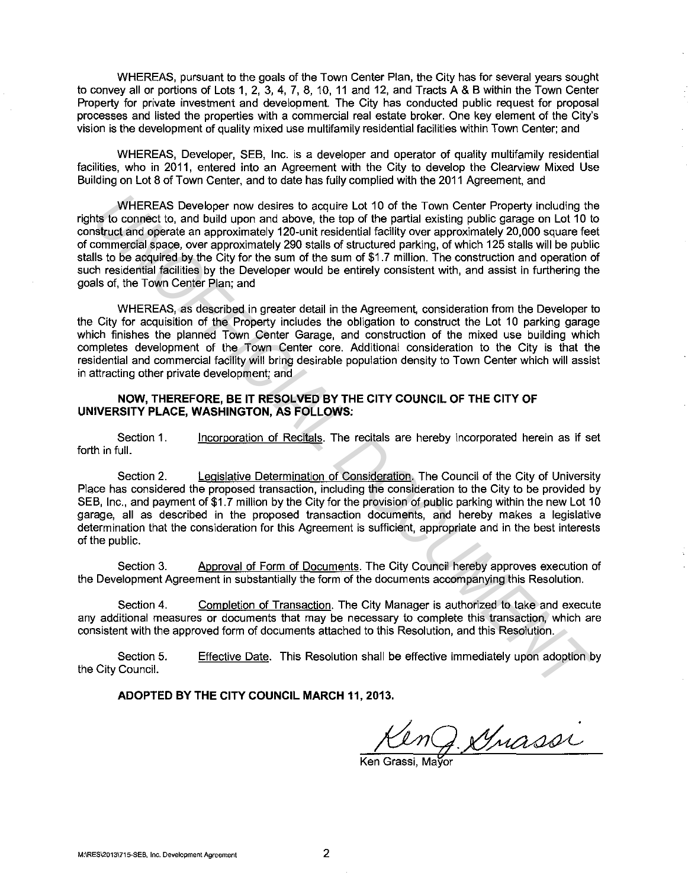WHEREAS, pursuant to the goals of the Town Center Plan, the City has for several years sought to convey all or portions of Lots 1, 2, 3, 4, 7, 8, 10, 11 and 12, and Tracts A & B within the Town Center Property for private investment and development. The City has conducted public request for proposal processes and listed the properties with a commercial real estate broker. One key element of the City's vision is the development of quality mixed use multifamily residential facilities within Town Center; and

WHEREAS, Developer, SEB, Inc. is a developer and operator of quality multifamily residential facilities, who in 2011, entered into an Agreement with the City to develop the Clearview Mixed Use Building on Lot 8 of Town Center, and to date has fully complied with the 2011 Agreement, and

WHEREAS Developer now desires to acquire Lot 10 of the Town Center Property including the rights to connect to, and build upon and above, the top of the partial existing public garage on Lot 10 to construct and operate an approximately 120-unit residential facility over approximately 20,000 square feet of commercial space, over approximately 290 stalls of structured parking, of which 125 stalls will be public stalls to be acquired by the City for the sum of the sum of \$1.7 million. The construction and operation of such residential facilities by the Developer would be entirely consistent with, and assist in furthering the goals of, the Town Center Plan; and WHEREAS Developer now desires to acquire Lot 10 of the Town Center Property including the too constant of a constant of the partial example public gase on Lot 10 the total develop the top of the partial example gase on Lot

WHEREAS, as described in greater detail in the Agreement, consideration from the Developer to the City for acquisition of the Property includes the obligation to construct the Lot 10 parking garage which finishes the planned Town Center Garage, and construction of the mixed use building which completes development of the Town Center core. Additional consideration to the City is that the residential and commercial facility will bring desirable population density to Town Center which will assist in attracting other private development; and

## **NOW, THEREFORE, BE IT RESOLVED BY THE CITY COUNCIL OF THE CITY OF UNIVERSITY PLACE, WASHINGTON, AS FOLLOWS:**

Section 1. forth in full. Incorporation of Recitals. The recitals are hereby incorporated herein as if set

Section 2. Legislative Determination of Consideration. The Council of the City of University Place has considered the proposed transaction, including the consideration to the City to be provided by SEB, Inc., and payment of \$1.7 million by the City for the provision of public parking within the new Lot 10 garage, all as described in the proposed transaction documents, and hereby makes a legislative determination that the consideration for this Agreement is sufficient, appropriate and in the best interests of the public.

Section 3. Approval of Form of Documents. The City Council hereby approves execution of the Development Agreement in substantially the form of the documents accompanying this Resolution.

Section 4. Completion of Transaction. The City Manager is authorized to take and execute any additional measures or documents that may be necessary to complete this transaction, which are consistent with the approved form of documents attached to this Resolution, and this Resolution.

Section 5. the City Council. Effective Date. This Resolution shall be effective immediately upon adoption by

**ADOPTED BY THE CITY COUNCIL MARCH 11, 2013.** 

nJ. Grasse

Ken Grassi, Ma**ÿ**or